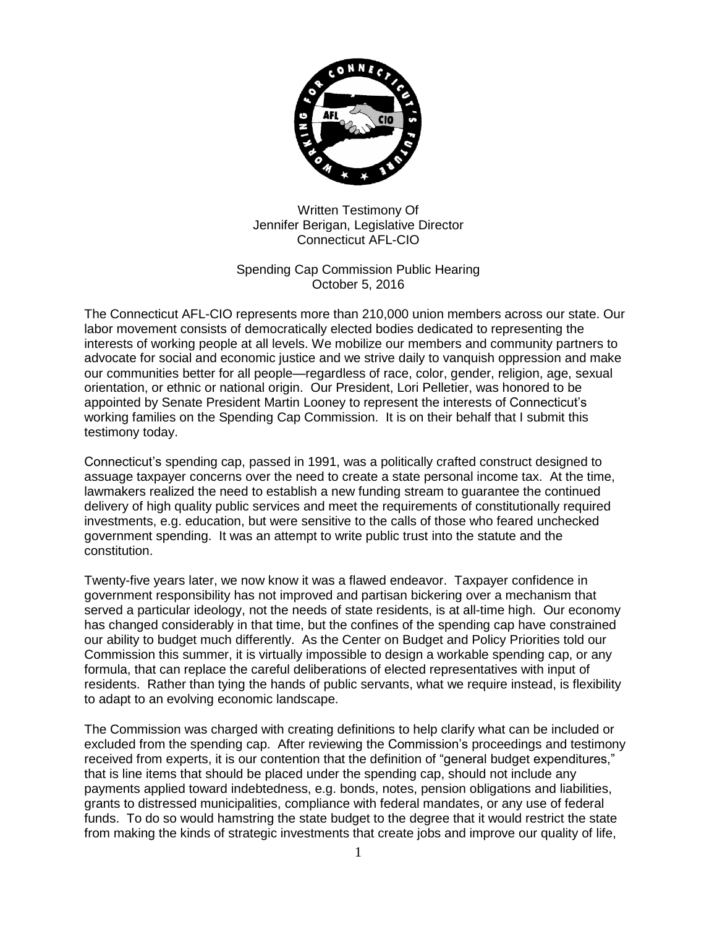

Written Testimony Of Jennifer Berigan, Legislative Director Connecticut AFL-CIO

Spending Cap Commission Public Hearing October 5, 2016

The Connecticut AFL-CIO represents more than 210,000 union members across our state. Our labor movement consists of democratically elected bodies dedicated to representing the interests of working people at all levels. We mobilize our members and community partners to advocate for social and economic justice and we strive daily to vanquish oppression and make our communities better for all people—regardless of race, color, gender, religion, age, sexual orientation, or ethnic or national origin. Our President, Lori Pelletier, was honored to be appointed by Senate President Martin Looney to represent the interests of Connecticut's working families on the Spending Cap Commission. It is on their behalf that I submit this testimony today.

Connecticut's spending cap, passed in 1991, was a politically crafted construct designed to assuage taxpayer concerns over the need to create a state personal income tax. At the time, lawmakers realized the need to establish a new funding stream to guarantee the continued delivery of high quality public services and meet the requirements of constitutionally required investments, e.g. education, but were sensitive to the calls of those who feared unchecked government spending. It was an attempt to write public trust into the statute and the constitution.

Twenty-five years later, we now know it was a flawed endeavor. Taxpayer confidence in government responsibility has not improved and partisan bickering over a mechanism that served a particular ideology, not the needs of state residents, is at all-time high. Our economy has changed considerably in that time, but the confines of the spending cap have constrained our ability to budget much differently. As the Center on Budget and Policy Priorities told our Commission this summer, it is virtually impossible to design a workable spending cap, or any formula, that can replace the careful deliberations of elected representatives with input of residents. Rather than tying the hands of public servants, what we require instead, is flexibility to adapt to an evolving economic landscape.

The Commission was charged with creating definitions to help clarify what can be included or excluded from the spending cap. After reviewing the Commission's proceedings and testimony received from experts, it is our contention that the definition of "general budget expenditures," that is line items that should be placed under the spending cap, should not include any payments applied toward indebtedness, e.g. bonds, notes, pension obligations and liabilities, grants to distressed municipalities, compliance with federal mandates, or any use of federal funds. To do so would hamstring the state budget to the degree that it would restrict the state from making the kinds of strategic investments that create jobs and improve our quality of life,